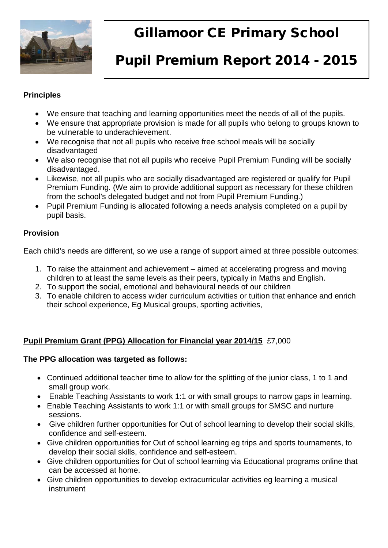

# Gillamoor CE Primary School

# Pupil Premium Report 2014 - 2015

### **Principles**

- We ensure that teaching and learning opportunities meet the needs of all of the pupils.
- We ensure that appropriate provision is made for all pupils who belong to groups known to be vulnerable to underachievement.
- We recognise that not all pupils who receive free school meals will be socially disadvantaged
- We also recognise that not all pupils who receive Pupil Premium Funding will be socially disadvantaged.
- Likewise, not all pupils who are socially disadvantaged are registered or qualify for Pupil Premium Funding. (We aim to provide additional support as necessary for these children from the school's delegated budget and not from Pupil Premium Funding.)
- Pupil Premium Funding is allocated following a needs analysis completed on a pupil by pupil basis.

## **Provision**

Each child's needs are different, so we use a range of support aimed at three possible outcomes:

- 1. To raise the attainment and achievement aimed at accelerating progress and moving children to at least the same levels as their peers, typically in Maths and English.
- 2. To support the social, emotional and behavioural needs of our children
- 3. To enable children to access wider curriculum activities or tuition that enhance and enrich their school experience, Eg Musical groups, sporting activities,

## **Pupil Premium Grant (PPG) Allocation for Financial year 2014/15** £7,000

#### **The PPG allocation was targeted as follows:**

- Continued additional teacher time to allow for the splitting of the junior class, 1 to 1 and small group work.
- Enable Teaching Assistants to work 1:1 or with small groups to narrow gaps in learning.
- Enable Teaching Assistants to work 1:1 or with small groups for SMSC and nurture sessions.
- Give children further opportunities for Out of school learning to develop their social skills, confidence and self-esteem.
- Give children opportunities for Out of school learning eg trips and sports tournaments, to develop their social skills, confidence and self-esteem.
- Give children opportunities for Out of school learning via Educational programs online that can be accessed at home.
- Give children opportunities to develop extracurricular activities eg learning a musical instrument